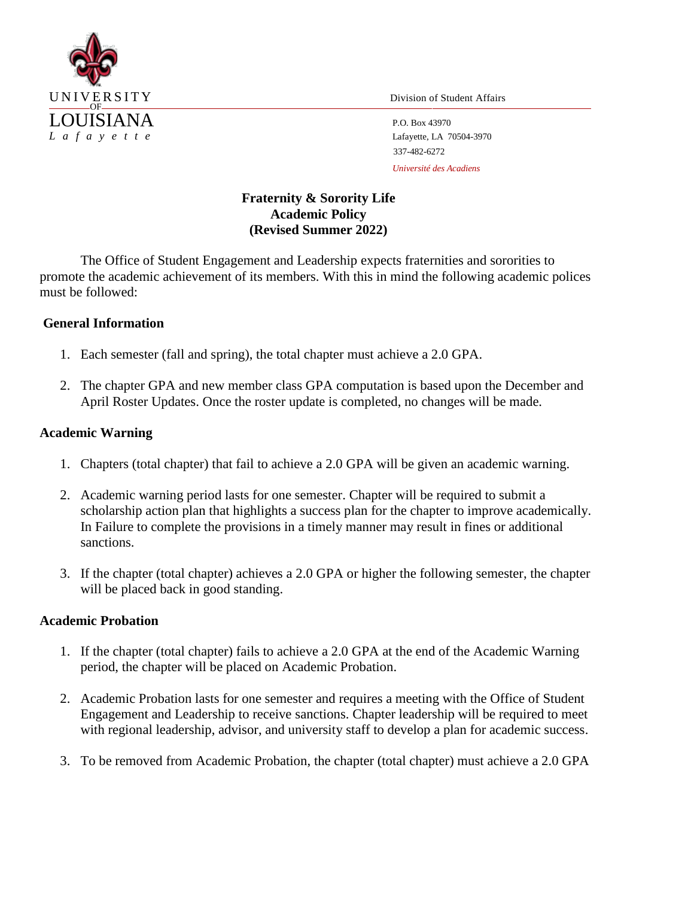

337-482-6272 *Université des Acadiens*

# **Fraternity & Sorority Life Academic Policy (Revised Summer 2022)**

The Office of Student Engagement and Leadership expects fraternities and sororities to promote the academic achievement of its members. With this in mind the following academic polices must be followed:

# **General Information**

- 1. Each semester (fall and spring), the total chapter must achieve a 2.0 GPA.
- 2. The chapter GPA and new member class GPA computation is based upon the December and April Roster Updates. Once the roster update is completed, no changes will be made.

# **Academic Warning**

- 1. Chapters (total chapter) that fail to achieve a 2.0 GPA will be given an academic warning.
- 2. Academic warning period lasts for one semester. Chapter will be required to submit a scholarship action plan that highlights a success plan for the chapter to improve academically. In Failure to complete the provisions in a timely manner may result in fines or additional sanctions.
- 3. If the chapter (total chapter) achieves a 2.0 GPA or higher the following semester, the chapter will be placed back in good standing.

### **Academic Probation**

- 1. If the chapter (total chapter) fails to achieve a 2.0 GPA at the end of the Academic Warning period, the chapter will be placed on Academic Probation.
- 2. Academic Probation lasts for one semester and requires a meeting with the Office of Student Engagement and Leadership to receive sanctions. Chapter leadership will be required to meet with regional leadership, advisor, and university staff to develop a plan for academic success.
- 3. To be removed from Academic Probation, the chapter (total chapter) must achieve a 2.0 GPA